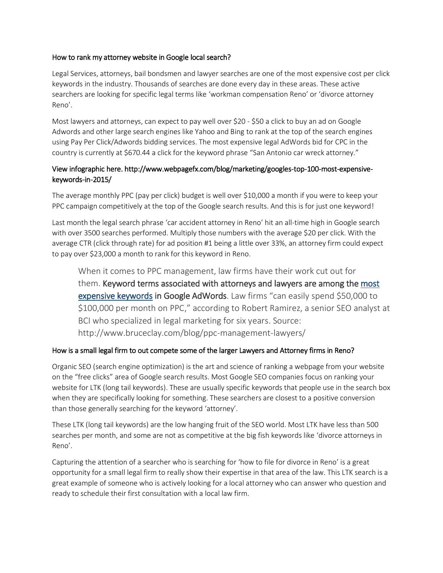### How to rank my attorney website in Google local search?

Legal Services, attorneys, bail bondsmen and lawyer searches are one of the most expensive cost per click keywords in the industry. Thousands of searches are done every day in these areas. These active searchers are looking for specific legal terms like 'workman compensation Reno' or 'divorce attorney Reno'.

Most lawyers and attorneys, can expect to pay well over \$20 - \$50 a click to buy an ad on Google Adwords and other large search engines like Yahoo and Bing to rank at the top of the search engines using Pay Per Click/Adwords bidding services. The most expensive legal AdWords bid for CPC in the country is currently at \$670.44 a click for the keyword phrase "San Antonio car wreck attorney."

# View infographic here. http://www.webpagefx.com/blog/marketing/googles-top-100-most-expensivekeywords-in-2015/

The average monthly PPC (pay per click) budget is well over \$10,000 a month if you were to keep your PPC campaign competitively at the top of the Google search results. And this is for just one keyword!

Last month the legal search phrase 'car accident attorney in Reno' hit an all-time high in Google search with over 3500 searches performed. Multiply those numbers with the average \$20 per click. With the average CTR (click through rate) for ad position #1 being a little over 33%, an attorney firm could expect to pay over \$23,000 a month to rank for this keyword in Reno.

When it comes to PPC management, law firms have their work cut out for them. Keyword terms associated with attorneys and lawyers are among the most expensive keywords in Google AdWords. Law firms "can easily spend \$50,000 to \$100,000 per month on PPC," according to Robert Ramirez, a senior SEO analyst at BCI who specialized in legal marketing for six years. Source: http://www.bruceclay.com/blog/ppc-management-lawyers/

## How is a small legal firm to out compete some of the larger Lawyers and Attorney firms in Reno?

Organic SEO (search engine optimization) is the art and science of ranking a webpage from your website on the "free clicks" area of Google search results. Most Google SEO companies focus on ranking your website for LTK (long tail keywords). These are usually specific keywords that people use in the search box when they are specifically looking for something. These searchers are closest to a positive conversion than those generally searching for the keyword 'attorney'.

These LTK (long tail keywords) are the low hanging fruit of the SEO world. Most LTK have less than 500 searches per month, and some are not as competitive at the big fish keywords like 'divorce attorneys in Reno'.

Capturing the attention of a searcher who is searching for 'how to file for divorce in Reno' is a great opportunity for a small legal firm to really show their expertise in that area of the law. This LTK search is a great example of someone who is actively looking for a local attorney who can answer who question and ready to schedule their first consultation with a local law firm.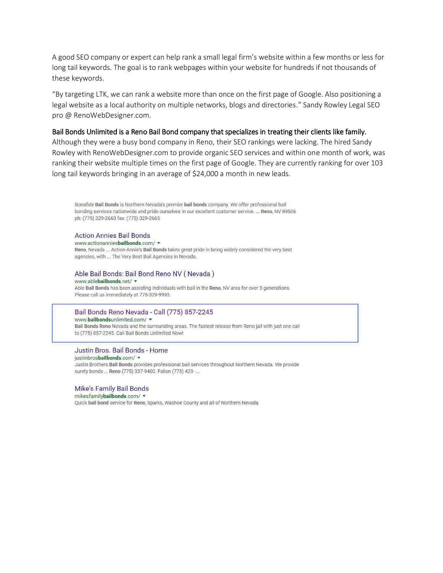A good SEO company or expert can help rank a small legal firm's website within a few months or less for long tail keywords. The goal is to rank webpages within your website for hundreds if not thousands of these keywords.

͞By targeting LTK, we can rank a website more than once on the first page of Google. Also positioning a legal website as a local authority on multiple networks, blogs and directories.<sup>™</sup> Sandy Rowley Legal SEO pro @ RenoWebDesigner.com.

#### Bail Bonds Unlimited is a Reno Bail Bond company that specializes in treating their clients like family.

Although they were a busy bond company in Reno, their SEO rankings were lacking. The hired Sandy Rowley with RenoWebDesigner.com to provide organic SEO services and within one month of work, was ranking their website multiple times on the first page of Google. They are currently ranking for over 103 long tail keywords bringing in an average of \$24,000 a month in new leads.

Bonafide Bail Bonds is Northern Nevada's premier bail bonds company. We offer professional bail bonding services nationwide and pride ourselves in our excellent customer service. ... Reno, NV 89506 ph: (775) 329-2663 fax: (775) 329-2665

#### **Action Annies Bail Bonds**

www.actionanniesbailbonds.com/ \* Reno, Nevada ... Action-Annie's Bail Bonds takes great pride in being widely considered the very best agencies, with ... The Very Best Bail Agencies in Nevada.

#### Able Bail Bonds: Bail Bond Reno NV (Nevada) www.ablebailbonds.net/ v

Able Bail Bonds has been assisting individuals with bail in the Reno, NV area for over 3 generations. Please call us immediately at 775-329-9993.

#### Bail Bonds Reno Nevada - Call (775) 857-2245 www.bailbondsunlimited.com/ \*

Bail Bonds Reno Nevada and the surrounding areas. The fastest release from Reno jail with just one call to (775) 857-2245. Call Bail Bonds Unlimited Now!

#### Justin Bros. Bail Bonds - Home

justinbrosbailbonds.com/ + Justin Brothers Bail Bonds provides professional bail services throughout Northern Nevada. We provide surety bonds ... Reno (775) 337-9400. Fallon (775) 423-...

#### **Mike's Family Bail Bonds**

mikesfamilybailbonds.com/ v Quick bail bond service for Reno, Sparks, Washoe County and all of Northern Nevada.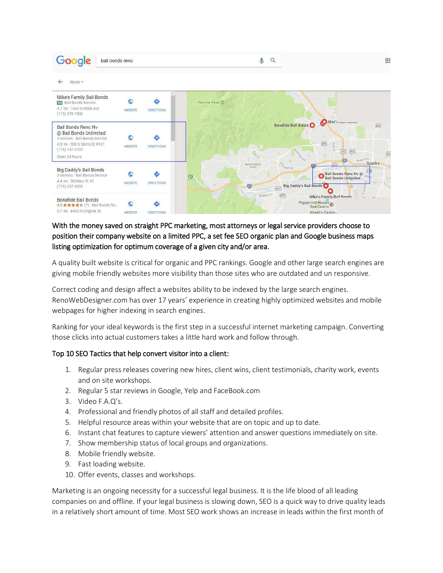

# With the money saved on straight PPC marketing, most attorneys or legal service providers choose to position their company website on a limited PPC, a set fee SEO organic plan and Google business maps listing optimization for optimum coverage of a given city and/or area.

A quality built website is critical for organic and PPC rankings. Google and other large search engines are giving mobile friendly websites more visibility than those sites who are outdated and un responsive.

Correct coding and design affect a websites ability to be indexed by the large search engines. RenoWebDesigner.com has over 17 years' experience in creating highly optimized websites and mobile webpages for higher indexing in search engines.

Ranking for your ideal keywords is the first step in a successful internet marketing campaign. Converting those clicks into actual customers takes a little hard work and follow through.

## Top 10 SEO Tactics that help convert visitor into a client:

- 1. Regular press releases covering new hires, client wins, client testimonials, charity work, events and on site workshops.
- 2. Regular 5 star reviews in Google, Yelp and FaceBook.com
- 3. Video F.A.Q's.
- 4. Professional and friendly photos of all staff and detailed profiles.
- 5. Helpful resource areas within your website that are on topic and up to date.
- 6. Instant chat features to capture viewers' attention and answer questions immediately on site.
- 7. Show membership status of local groups and organizations.
- 8. Mobile friendly website.
- 9. Fast loading website.
- 10. Offer events, classes and workshops.

Marketing is an ongoing necessity for a successful legal business. It is the life blood of all leading companies on and offline. If your legal business is slowing down, SEO is a quick way to drive quality leads in a relatively short amount of time. Most SEO work shows an increase in leads within the first month of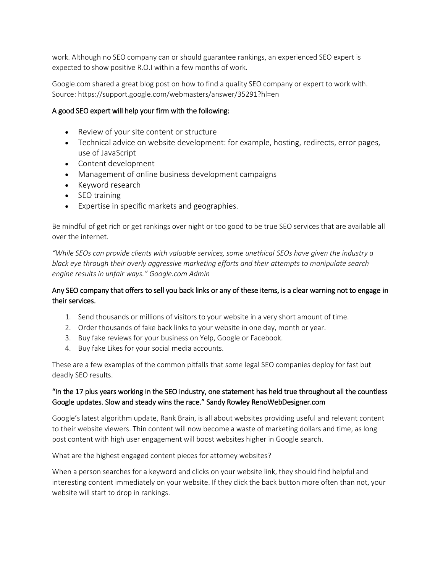work. Although no SEO company can or should guarantee rankings, an experienced SEO expert is expected to show positive R.O.I within a few months of work.

Google.com shared a great blog post on how to find a quality SEO company or expert to work with. Source: https://support.google.com/webmasters/answer/35291?hl=en

# A good SEO expert will help your firm with the following:

- Review of your site content or structure
- Technical advice on website development: for example, hosting, redirects, error pages, use of JavaScript
- Content development
- Management of online business development campaigns
- Keyword research
- SEO training
- Expertise in specific markets and geographies.

Be mindful of get rich or get rankings over night or too good to be true SEO services that are available all over the internet.

*͞While SEOs can provide clients with valuable services, some unethical SEOs have given the industry a black eye through their overly aggressive marketing efforts and their attempts to manipulate search engine results in unfair ways.*" Google.com Admin

# Any SEO company that offers to sell you back links or any of these items, is a clear warning not to engage in their services.

- 1. Send thousands or millions of visitors to your website in a very short amount of time.
- 2. Order thousands of fake back links to your website in one day, month or year.
- 3. Buy fake reviews for your business on Yelp, Google or Facebook.
- 4. Buy fake Likes for your social media accounts.

These are a few examples of the common pitfalls that some legal SEO companies deploy for fast but deadly SEO results.

# "In the 17 plus years working in the SEO industry, one statement has held true throughout all the countless Google updates. Slow and steady wins the race." Sandy Rowley RenoWebDesigner.com

Google's latest algorithm update, Rank Brain, is all about websites providing useful and relevant content to their website viewers. Thin content will now become a waste of marketing dollars and time, as long post content with high user engagement will boost websites higher in Google search.

What are the highest engaged content pieces for attorney websites?

When a person searches for a keyword and clicks on your website link, they should find helpful and interesting content immediately on your website. If they click the back button more often than not, your website will start to drop in rankings.